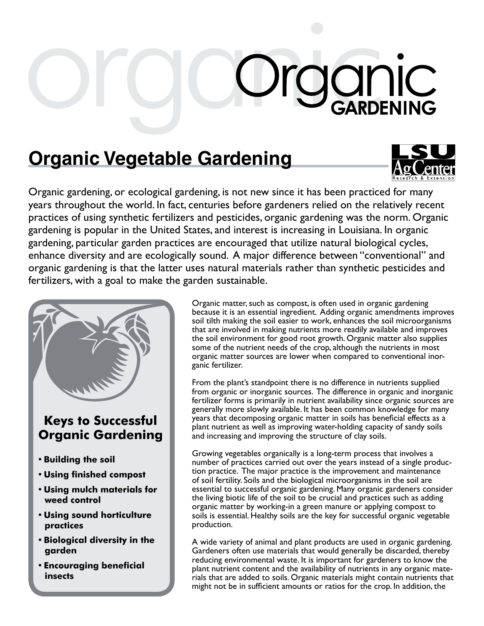## **Organic Corganic Corganic Corganic Corganic Corganic Corganic Corganic Corporation**

## **Organic Vegetable Gardening**



Organic gardening, or ecological gardening, is not new since it has been practiced for many years throughout the world. In fact, centuries before gardeners relied on the relatively recent practices of using synthetic fertilizers and pesticides, organic gardening was the norm. Organic gardening is popular in the United States, and interest is increasing in Louisiana. In organic gardening, particular garden practices are encouraged that utilize natural biological cycles, enhance diversity and are ecologically sound. A major difference between "conventional" and organic gardening is that the latter uses natural materials rather than synthetic pesticides and fertilizers, with a goal to make the garden sustainable.



## **Keys to Successful Organic Gardening**

- **• Building the soil**
- **• Using finished compost**
- **• Using mulch materials for weed control**
- **• Using sound horticulture practices**
- **• Biological diversity in the garden**
- **• Encouraging beneficial insects**

Organic matter, such as compost, is often used in organic gardening because it is an essential ingredient. Adding organic amendments improves soil tilth making the soil easier to work, enhances the soil microorganisms that are involved in making nutrients more readily available and improves the soil environment for good root growth. Organic matter also supplies some of the nutrient needs of the crop, although the nutrients in most organic matter sources are lower when compared to conventional inorganic fertilizer.

From the plant's standpoint there is no difference in nutrients supplied from organic or inorganic sources. The difference in organic and inorganic fertilizer forms is primarily in nutrient availability since organic sources are generally more slowly available. It has been common knowledge for many years that decomposing organic matter in soils has beneficial effects as a plant nutrient as well as improving water-holding capacity of sandy soils and increasing and improving the structure of clay soils.

Growing vegetables organically is a long-term process that involves a number of practices carried out over the years instead of a single production practice. The major practice is the improvement and maintenance of soil fertility. Soils and the biological microorganisms in the soil are essential to successful organic gardening. Many organic gardeners consider the living biotic life of the soil to be crucial and practices such as adding organic matter by working-in a green manure or applying compost to soils is essential. Healthy soils are the key for successful organic vegetable production.

A wide variety of animal and plant products are used in organic gardening. Gardeners often use materials that would generally be discarded, thereby reducing environmental waste. It is important for gardeners to know the plant nutrient content and the availability of nutrients in any organic materials that are added to soils. Organic materials might contain nutrients that might not be in sufficient amounts or ratios for the crop. In addition, the